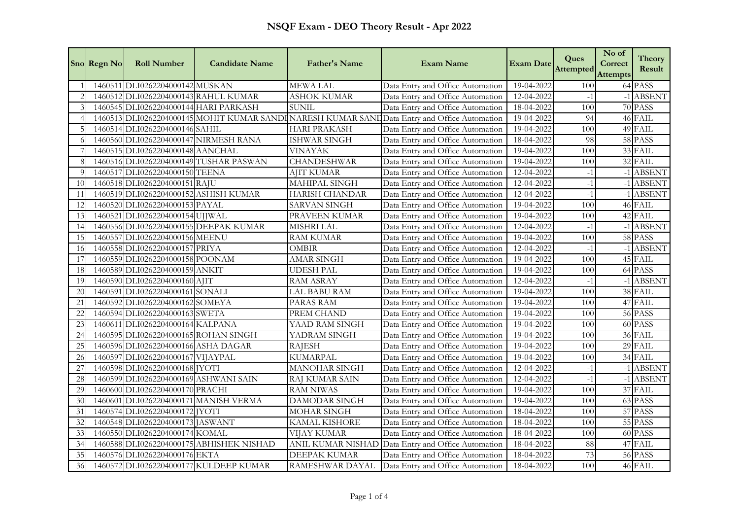|               | Sno Regn No | <b>Roll Number</b>                    | <b>Candidate Name</b>                    | <b>Father's Name</b>  | <b>Exam Name</b>                                                                              | <b>Exam Date</b> | Ques<br>Attempted | No of<br>Correct<br><b>Attempts</b> | <b>Theory</b><br>Result |
|---------------|-------------|---------------------------------------|------------------------------------------|-----------------------|-----------------------------------------------------------------------------------------------|------------------|-------------------|-------------------------------------|-------------------------|
|               | 1460511     | DLI0262204000142 MUSKAN               |                                          | <b>MEWA LAL</b>       | Data Entry and Office Automation                                                              | 19-04-2022       | 100               |                                     | 64 PASS                 |
|               |             | 1460512 DLI0262204000143 RAHUL KUMAR  |                                          | <b>ASHOK KUMAR</b>    | Data Entry and Office Automation                                                              | 12-04-2022       | $-1$              |                                     | -1 ABSENT               |
| $\mathcal{E}$ |             | 1460545 DLI0262204000144 HARI PARKASH |                                          | <b>SUNIL</b>          | Data Entry and Office Automation                                                              | 18-04-2022       | 100               |                                     | $\overline{70}$ PASS    |
|               |             |                                       |                                          |                       | 1460513 DLI0262204000145 MOHIT KUMAR SANDI NARESH KUMAR SANI Data Entry and Office Automation | 19-04-2022       | 94                |                                     | 46 FAIL                 |
|               |             | 1460514 DLI0262204000146 SAHIL        |                                          | <b>HARI PRAKASH</b>   | Data Entry and Office Automation                                                              | 19-04-2022       | 100               |                                     | 49 FAIL                 |
|               |             | 1460560 DLI0262204000147 NIRMESH RANA |                                          | <b>ISHWAR SINGH</b>   | Data Entry and Office Automation                                                              | 18-04-2022       | 98                |                                     | 58 PASS                 |
|               |             | 1460515 DLI0262204000148 AANCHAL      |                                          | <b>VINAYAK</b>        | Data Entry and Office Automation                                                              | 19-04-2022       | 100               |                                     | 33 FAIL                 |
|               |             |                                       | 1460516 DLI0262204000149 TUSHAR PASWAN   | <b>CHANDESHWAR</b>    | Data Entry and Office Automation                                                              | 19-04-2022       | 100               |                                     | 32 FAIL                 |
| $\Omega$      |             | 1460517 DLI0262204000150 TEENA        |                                          | <b>AJIT KUMAR</b>     | Data Entry and Office Automation                                                              | 12-04-2022       | $-1$              |                                     | -1 ABSENT               |
| 10            |             | 1460518 DLI0262204000151 RAJU         |                                          | MAHIPAL SINGH         | Data Entry and Office Automation                                                              | 12-04-2022       | $-1$              |                                     | <b>ABSENT</b>           |
| 11            |             | 1460519 DLI0262204000152 ASHISH KUMAR |                                          | <b>HARISH CHANDAR</b> | Data Entry and Office Automation                                                              | 12-04-2022       | $-1$              |                                     | 1 ABSENT                |
| 12            |             | 1460520 DLI0262204000153 PAYAL        |                                          | <b>SARVAN SINGH</b>   | Data Entry and Office Automation                                                              | 19-04-2022       | 100               |                                     | 46 FAIL                 |
| 13            |             | 1460521 DLI0262204000154 UJJWAL       |                                          | PRAVEEN KUMAR         | Data Entry and Office Automation                                                              | 19-04-2022       | 100               |                                     | 42 FAIL                 |
| 14            |             |                                       | 1460556 DLI0262204000155 DEEPAK KUMAR    | MISHRI LAL            | Data Entry and Office Automation                                                              | 12-04-2022       | $-1$              |                                     | -1 ABSENT               |
| 15            |             | 1460557 DLI0262204000156 MEENU        |                                          | <b>RAM KUMAR</b>      | Data Entry and Office Automation                                                              | 19-04-2022       | 100               |                                     | 58 PASS                 |
| 16            |             | 1460558 DLI0262204000157 PRIYA        |                                          | <b>OMBIR</b>          | Data Entry and Office Automation                                                              | 12-04-2022       | $-1$              |                                     | -1 ABSENT               |
| 17            |             | 1460559 DLI0262204000158 POONAM       |                                          | <b>AMAR SINGH</b>     | Data Entry and Office Automation                                                              | 19-04-2022       | 100               |                                     | 45 FAIL                 |
| 18            |             | 1460589 DLI0262204000159 ANKIT        |                                          | <b>UDESH PAL</b>      | Data Entry and Office Automation                                                              | 19-04-2022       | 100               |                                     | 64 PASS                 |
| 19            |             | 1460590 DLI0262204000160 AJIT         |                                          | <b>RAM ASRAY</b>      | Data Entry and Office Automation                                                              | 12-04-2022       | $-1$              |                                     | -1 ABSENT               |
| 20            |             | 1460591 DLI0262204000161 SONALI       |                                          | LAL BABU RAM          | Data Entry and Office Automation                                                              | 19-04-2022       | 100               |                                     | 38 FAIL                 |
| 21            |             | 1460592 DLI0262204000162 SOMEYA       |                                          | PARAS RAM             | Data Entry and Office Automation                                                              | 19-04-2022       | 100               |                                     | 47 FAIL                 |
| 22            |             | 1460594 DLI0262204000163 SWETA        |                                          | PREM CHAND            | Data Entry and Office Automation                                                              | 19-04-2022       | 100               |                                     | 56 PASS                 |
| 23            |             | 1460611 DLI0262204000164 KALPANA      |                                          | YAAD RAM SINGH        | Data Entry and Office Automation                                                              | 19-04-2022       | 100               |                                     | 60 PASS                 |
| 24            |             | 1460595 DLI0262204000165 ROHAN SINGH  |                                          | YADRAM SINGH          | Data Entry and Office Automation                                                              | 19-04-2022       | 100               |                                     | 36 FAIL                 |
| 25            |             | 1460596 DLI0262204000166 ASHA DAGAR   |                                          | <b>RAJESH</b>         | Data Entry and Office Automation                                                              | 19-04-2022       | 100               |                                     | 29 FAIL                 |
| 26            |             | 1460597 DLI0262204000167 VIJAYPAL     |                                          | <b>KUMARPAL</b>       | Data Entry and Office Automation                                                              | 19-04-2022       | 100               |                                     | 34 FAIL                 |
| 27            |             | 1460598 DLI0262204000168 JYOTI        |                                          | <b>MANOHAR SINGH</b>  | Data Entry and Office Automation                                                              | 12-04-2022       | $-1$              |                                     | -1 ABSENT               |
| 28            |             | 1460599 DLI0262204000169 ASHWANI SAIN |                                          | RAJ KUMAR SAIN        | Data Entry and Office Automation                                                              | 12-04-2022       | $-1$              |                                     | -1 ABSENT               |
| 29            |             | 1460600 DLI0262204000170 PRACHI       |                                          | <b>RAM NIWAS</b>      | Data Entry and Office Automation                                                              | 19-04-2022       | 100               |                                     | 37 FAIL                 |
| 30            | 1460601     | DLI0262204000171 MANISH VERMA         |                                          | <b>DAMODAR SINGH</b>  | Data Entry and Office Automation                                                              | 19-04-2022       | 100               |                                     | 63 PASS                 |
| 31            |             | 1460574 DLI0262204000172 JYOTI        |                                          | <b>MOHAR SINGH</b>    | Data Entry and Office Automation                                                              | 18-04-2022       | 100               |                                     | 57 PASS                 |
| 32            |             | 1460548 DLI0262204000173 JASWANT      |                                          | KAMAL KISHORE         | Data Entry and Office Automation                                                              | 18-04-2022       | 100               |                                     | 55 PASS                 |
| 33            |             | 1460550 DLI0262204000174 KOMAL        |                                          | <b>VIJAY KUMAR</b>    | Data Entry and Office Automation                                                              | 18-04-2022       | 100               |                                     | 60 PASS                 |
| 34            |             |                                       | 1460588 DLI0262204000175 ABHISHEK NISHAD |                       | ANIL KUMAR NISHAD Data Entry and Office Automation                                            | 18-04-2022       | 88                |                                     | 47 FAIL                 |
| 35            |             | 1460576 DLI0262204000176 EKTA         |                                          | <b>DEEPAK KUMAR</b>   | Data Entry and Office Automation                                                              | 18-04-2022       | 73                |                                     | 56 PASS                 |
| 36            |             |                                       | 1460572 DLI0262204000177 KULDEEP KUMAR   | RAMESHWAR DAYAL       | Data Entry and Office Automation                                                              | 18-04-2022       | 100               |                                     | 46 FAIL                 |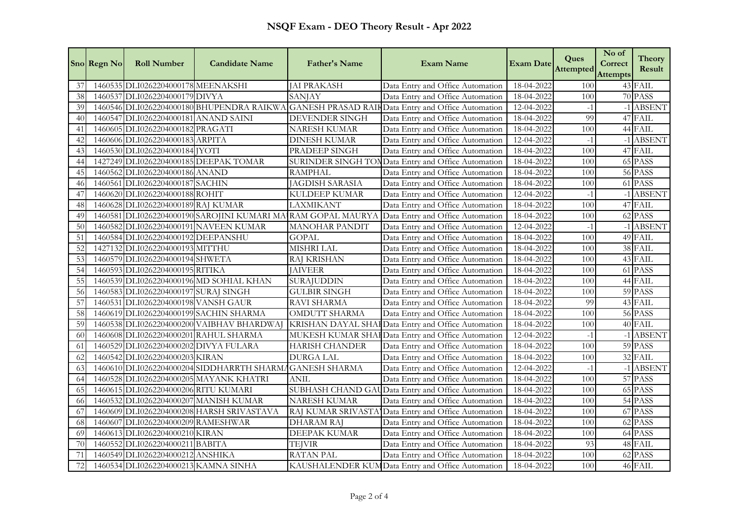|                | Sno Regn No | <b>Roll Number</b>                    | <b>Candidate Name</b>                                        | Father's Name            | <b>Exam Name</b>                                                                             | <b>Exam Date</b> | Ques<br>Attempted | No of<br>Correct<br><b>Attempts</b> | <b>Theory</b><br>Result |
|----------------|-------------|---------------------------------------|--------------------------------------------------------------|--------------------------|----------------------------------------------------------------------------------------------|------------------|-------------------|-------------------------------------|-------------------------|
| 37             |             | 1460535 DLI0262204000178 MEENAKSHI    |                                                              | <b>JAI PRAKASH</b>       | Data Entry and Office Automation                                                             | 18-04-2022       | 100               |                                     | 43 FAIL                 |
| 38             |             | 1460537 DLI0262204000179 DIVYA        |                                                              | <b>SANJAY</b>            | Data Entry and Office Automation                                                             | 18-04-2022       | 100               |                                     | 70 PASS                 |
| 39             |             |                                       |                                                              |                          | 1460546 DLI0262204000180 BHUPENDRA RAIKWA GANESH PRASAD RAIKData Entry and Office Automation | 12-04-2022       | $-1$              |                                     | -1 ABSENT               |
| 40             |             | 1460547 DLI0262204000181 ANAND SAINI  |                                                              | <b>DEVENDER SINGH</b>    | Data Entry and Office Automation                                                             | 18-04-2022       | 99                |                                     | 47 FAIL                 |
| 41             |             | 1460605 DLI0262204000182 PRAGATI      |                                                              | <b>NARESH KUMAR</b>      | Data Entry and Office Automation                                                             | 18-04-2022       | 100               |                                     | 44 FAIL                 |
| 42             |             | 1460606 DLI0262204000183 ARPITA       |                                                              | DINESH KUMAR             | Data Entry and Office Automation                                                             | 12-04-2022       | $-1$              |                                     | -1 ABSENT               |
| 4 <sup>3</sup> |             | 1460530 DLI0262204000184 JYOTI        |                                                              | PRADEEP SINGH            | Data Entry and Office Automation                                                             | 18-04-2022       | 100               |                                     | 47 FAIL                 |
| 44             |             |                                       | 1427249 DLI0262204000185 DEEPAK TOMAR                        |                          | SURINDER SINGH TONData Entry and Office Automation                                           | 18-04-2022       | 100               |                                     | 65 PASS                 |
| 45             |             | 1460562 DLI0262204000186 ANAND        |                                                              | <b>RAMPHAL</b>           | Data Entry and Office Automation                                                             | 18-04-2022       | 100               |                                     | 56 PASS                 |
| 46             |             | 1460561 DLI0262204000187 SACHIN       |                                                              | <b>JAGDISH SARASIA</b>   | Data Entry and Office Automation                                                             | 18-04-2022       | 100               |                                     | 61 PASS                 |
| 47             |             | 1460620 DLI0262204000188 ROHIT        |                                                              | KULDEEP KUMAR            | Data Entry and Office Automation                                                             | 12-04-2022       | $-1$              |                                     | -1 ABSENT               |
| 48             |             | 1460628 DLI0262204000189 RAJ KUMAR    |                                                              | LAXMIKANT                | Data Entry and Office Automation                                                             | 18-04-2022       | 100               |                                     | 47 FAIL                 |
| 49             |             |                                       | 1460581 DLI0262204000190 SAROJINI KUMARI MA RAM GOPAL MAURYA |                          | Data Entry and Office Automation                                                             | 18-04-2022       | 100               |                                     | 62 PASS                 |
| 50             |             |                                       | 1460582 DLI0262204000191 NAVEEN KUMAR                        | <b>MANOHAR PANDIT</b>    | Data Entry and Office Automation                                                             | 12-04-2022       | $-1$              |                                     | -1 ABSENT               |
| 51             |             | 1460584 DLI0262204000192 DEEPANSHU    |                                                              | <b>GOPAL</b>             | Data Entry and Office Automation                                                             | 18-04-2022       | 100               |                                     | 49 FAIL                 |
| 52             |             | 1427132 DLI0262204000193 MITTHU       |                                                              | MISHRI LAL               | Data Entry and Office Automation                                                             | 18-04-2022       | 100               |                                     | 38 FAIL                 |
| 53             |             | 1460579 DLI0262204000194 SHWETA       |                                                              | <b>RAJ KRISHAN</b>       | Data Entry and Office Automation                                                             | 18-04-2022       | 100               |                                     | 43 FAIL                 |
| 54             |             | 1460593 DLI0262204000195 RITIKA       |                                                              | <b>JAIVEER</b>           | Data Entry and Office Automation                                                             | 18-04-2022       | 100               |                                     | 61 PASS                 |
| 55             |             |                                       | 1460539 DLI0262204000196 MD SOHIAL KHAN                      | <b>SURAJUDDIN</b>        | Data Entry and Office Automation                                                             | 18-04-2022       | 100               |                                     | 44 FAIL                 |
| 56             |             | 1460583 DLI0262204000197 SURAJ SINGH  |                                                              | <b>GULBIR SINGH</b>      | Data Entry and Office Automation                                                             | 18-04-2022       | 100               |                                     | 59 PASS                 |
| 57             |             | 1460531 DLI0262204000198 VANSH GAUR   |                                                              | RAVI SHARMA              | Data Entry and Office Automation                                                             | 18-04-2022       | 99                |                                     | 43 FAIL                 |
| 58             |             |                                       | 1460619 DLI0262204000199 SACHIN SHARMA                       | <b>OMDUTT SHARMA</b>     | Data Entry and Office Automation                                                             | 18-04-2022       | 100               |                                     | 56 PASS                 |
| 59             |             |                                       | 1460538 DLI0262204000200 VAIBHAV BHARDWAJ                    | <b>KRISHAN DAYAL SHA</b> | <b>IData Entry and Office Automation</b>                                                     | 18-04-2022       | 100               |                                     | 40 FAIL                 |
| 60             |             | 1460608 DLI0262204000201 RAHUL SHARMA |                                                              |                          | MUKESH KUMAR SHAI Data Entry and Office Automation                                           | 12-04-2022       | $-1$              |                                     | -1 ABSENT               |
| 61             |             | 1460529 DLI0262204000202 DIVYA FULARA |                                                              | <b>HARISH CHANDER</b>    | Data Entry and Office Automation                                                             | 18-04-2022       | 100               |                                     | 59 PASS                 |
| 62             |             | 1460542 DLI0262204000203 KIRAN        |                                                              | <b>DURGA LAL</b>         | Data Entry and Office Automation                                                             | 18-04-2022       | 100               |                                     | 32 FAIL                 |
| 63             |             |                                       | 1460610 DLI0262204000204 SIDDHARRTH SHARMAGANESH SHARMA      |                          | Data Entry and Office Automation                                                             | 12-04-2022       | $-1$              |                                     | -1 ABSENT               |
| 64             |             |                                       | 1460528 DLI0262204000205 MAYANK KHATRI                       | ANIL                     | Data Entry and Office Automation                                                             | 18-04-2022       | 100               |                                     | 57 PASS                 |
| 65             |             | 1460615 DLI0262204000206 RITU KUMARI  |                                                              |                          | SUBHASH CHAND GAUData Entry and Office Automation                                            | 18-04-2022       | 100               |                                     | 65 PASS                 |
| 66             |             |                                       | 1460532 DLI0262204000207 MANISH KUMAR                        | <b>NARESH KUMAR</b>      | Data Entry and Office Automation                                                             | 18-04-2022       | 100               |                                     | 54 PASS                 |
| 67             |             |                                       | 1460609 DLI0262204000208 HARSH SRIVASTAVA                    |                          | RAJ KUMAR SRIVASTA Data Entry and Office Automation                                          | 18-04-2022       | 100               |                                     | 67 PASS                 |
| 68             |             | 1460607 DLI0262204000209 RAMESHWAR    |                                                              | DHARAM RAJ               | Data Entry and Office Automation                                                             | 18-04-2022       | 100               |                                     | 62 PASS                 |
| 69             |             | 1460613 DLI0262204000210 KIRAN        |                                                              | DEEPAK KUMAR             | Data Entry and Office Automation                                                             | 18-04-2022       | 100               |                                     | 64 PASS                 |
| 70             |             | 1460552 DLI0262204000211 BABITA       |                                                              | <b>TEJVIR</b>            | Data Entry and Office Automation                                                             | 18-04-2022       | 93                |                                     | 48 FAIL                 |
| 71             |             | 1460549 DLI0262204000212 ANSHIKA      |                                                              | <b>RATAN PAL</b>         | Data Entry and Office Automation                                                             | 18-04-2022       | 100               |                                     | 62 PASS                 |
| 72             |             | 1460534 DLI0262204000213 KAMNA SINHA  |                                                              |                          | KAUSHALENDER KUMData Entry and Office Automation                                             | 18-04-2022       | 100               |                                     | 46 FAIL                 |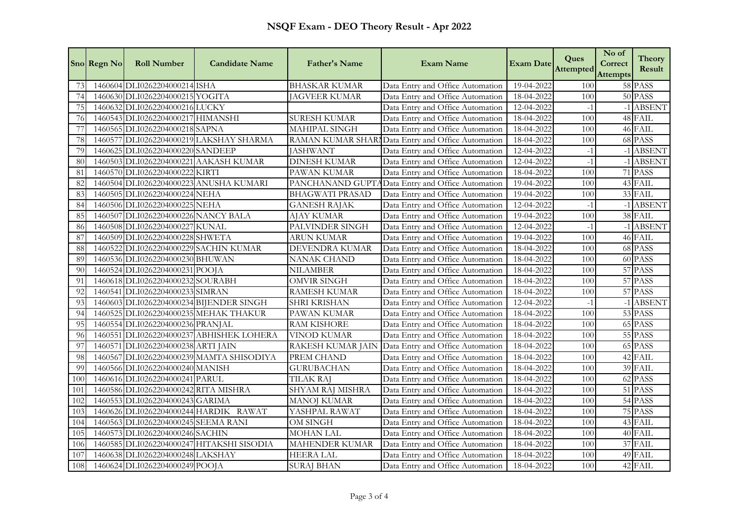|     | Sno Regn No | <b>Roll Number</b>                    | <b>Candidate Name</b>                     | Father's Name          | <b>Exam Name</b>                                   | <b>Exam Date</b> | Ques<br><b>Attempted</b> | No of<br>Correct<br><b>Attempts</b> | <b>Theory</b><br>Result |
|-----|-------------|---------------------------------------|-------------------------------------------|------------------------|----------------------------------------------------|------------------|--------------------------|-------------------------------------|-------------------------|
| 73  |             | 1460604 DLI0262204000214 ISHA         |                                           | <b>BHASKAR KUMAR</b>   | Data Entry and Office Automation                   | 19-04-2022       | 100                      |                                     | 58 PASS                 |
| 74  |             | 1460630 DLI0262204000215 YOGITA       |                                           | <b>JAGVEER KUMAR</b>   | Data Entry and Office Automation                   | 18-04-2022       | 100                      |                                     | 50 PASS                 |
| 75  |             | 1460632 DLI0262204000216 LUCKY        |                                           |                        | Data Entry and Office Automation                   | 12-04-2022       | $-1$                     |                                     | -1 ABSENT               |
| 76  |             | 1460543 DLI0262204000217 HIMANSHI     |                                           | <b>SURESH KUMAR</b>    | Data Entry and Office Automation                   | 18-04-2022       | 100                      |                                     | 48 FAIL                 |
| 77  |             | 1460565 DLI0262204000218 SAPNA        |                                           | <b>MAHIPAL SINGH</b>   | Data Entry and Office Automation                   | 18-04-2022       | 100                      |                                     | 46 FAIL                 |
| 78  |             |                                       | 1460577 DLI0262204000219 LAKSHAY SHARMA   | RAMAN KUMAR SHAR       | Data Entry and Office Automation                   | 18-04-2022       | 100                      |                                     | 68 PASS                 |
| 79  |             | 1460625 DLI0262204000220 SANDEEP      |                                           | <b>JASHWANT</b>        | Data Entry and Office Automation                   | 12-04-2022       | $-1$                     |                                     | -1 ABSENT               |
| 80  |             |                                       | 1460503 DLI0262204000221 AAKASH KUMAR     | <b>DINESH KUMAR</b>    | Data Entry and Office Automation                   | 12-04-2022       | $-1$                     |                                     | -1 ABSENT               |
| 81  |             | 1460570 DLI0262204000222              | <b>KIRTI</b>                              | PAWAN KUMAR            | Data Entry and Office Automation                   | 18-04-2022       | 100                      |                                     | 71 PASS                 |
| 82  |             |                                       | 1460504 DLI0262204000223 ANUSHA KUMARI    | PANCHANAND GUPT        | AData Entry and Office Automation                  | 19-04-2022       | 100                      |                                     | 43 FAIL                 |
| 83  |             | 1460505 DLI0262204000224 NEHA         |                                           | <b>BHAGWATI PRASAD</b> | Data Entry and Office Automation                   | 19-04-2022       | 100                      |                                     | 33 FAIL                 |
| 84  |             | 1460506 DLI0262204000225 NEHA         |                                           | <b>GANESH RAJAK</b>    | Data Entry and Office Automation                   | 12-04-2022       | $-1$                     |                                     | -1 ABSENT               |
| 85  |             | 1460507 DLI0262204000226 NANCY BALA   |                                           | <b>AJAY KUMAR</b>      | Data Entry and Office Automation                   | 19-04-2022       | 100                      |                                     | 38 FAIL                 |
| 86  |             | 1460508 DLI0262204000227 KUNAL        |                                           | PALVINDER SINGH        | Data Entry and Office Automation                   | 12-04-2022       | $-1$                     |                                     | -1 ABSENT               |
| 87  |             | 1460509 DLI0262204000228 SHWETA       |                                           | <b>ARUN KUMAR</b>      | Data Entry and Office Automation                   | 19-04-2022       | 100                      |                                     | 46 FAIL                 |
| 88  |             | 1460522 DLI0262204000229 SACHIN KUMAR |                                           | DEVENDRA KUMAR         | Data Entry and Office Automation                   | 18-04-2022       | 100                      |                                     | 68 PASS                 |
| 89  |             | 1460536 DLI0262204000230 BHUWAN       |                                           | NANAK CHAND            | Data Entry and Office Automation                   | 18-04-2022       | 100                      |                                     | 60 PASS                 |
| 90  |             | 1460524 DLI0262204000231 POOJA        |                                           | <b>NILAMBER</b>        | Data Entry and Office Automation                   | 18-04-2022       | 100                      |                                     | 57 PASS                 |
| 91  |             | 1460618 DLI0262204000232 SOURABH      |                                           | <b>OMVIR SINGH</b>     | Data Entry and Office Automation                   | 18-04-2022       | 100                      |                                     | 57 PASS                 |
| 92  |             | 1460541 DLI0262204000233 SIMRAN       |                                           | <b>RAMESH KUMAR</b>    | Data Entry and Office Automation                   | 18-04-2022       | 100                      |                                     | 57 PASS                 |
| 93  |             |                                       | 1460603 DLI0262204000234 BIJENDER SINGH   | <b>SHRI KRISHAN</b>    | Data Entry and Office Automation                   | 12-04-2022       | $-1$                     |                                     | -1 ABSENT               |
| 94  |             |                                       | 1460525 DLI0262204000235 MEHAK THAKUR     | PAWAN KUMAR            | Data Entry and Office Automation                   | 18-04-2022       | 100                      |                                     | 53 PASS                 |
| 95  |             | 1460554 DLI0262204000236 PRANJAL      |                                           | <b>RAM KISHORE</b>     | Data Entry and Office Automation                   | 18-04-2022       | 100                      |                                     | 65 PASS                 |
| 96  |             |                                       | 1460551 DLI0262204000237 ABHISHEK LOHERA  | <b>VINOD KUMAR</b>     | Data Entry and Office Automation                   | 18-04-2022       | 100                      |                                     | 55 PASS                 |
| 97  |             | 1460571 DLI0262204000238 ARTI JAIN    |                                           |                        | RAKESH KUMAR JAIN Data Entry and Office Automation | 18-04-2022       | 100                      |                                     | 65 PASS                 |
| 98  |             |                                       | 1460567 DLI0262204000239 MAMTA SHISODIYA  | PREM CHAND             | Data Entry and Office Automation                   | 18-04-2022       | 100                      |                                     | 42 FAIL                 |
| 99  |             | 1460566 DLI0262204000240 MANISH       |                                           | <b>GURUBACHAN</b>      | Data Entry and Office Automation                   | 18-04-2022       | 100                      |                                     | 39 FAIL                 |
| 100 |             | 1460616 DLI0262204000241 PARUL        |                                           | <b>TILAK RAJ</b>       | Data Entry and Office Automation                   | 18-04-2022       | 100                      |                                     | 62 PASS                 |
| 101 |             | 1460586 DLI0262204000242 RITA MISHRA  |                                           | SHYAM RAJ MISHRA       | Data Entry and Office Automation                   | 18-04-2022       | 100                      |                                     | 51 PASS                 |
| 102 |             | 1460553 DLI0262204000243 GARIMA       |                                           | <b>MANOJ KUMAR</b>     | Data Entry and Office Automation                   | 18-04-2022       | 100                      |                                     | 54 PASS                 |
| 103 |             |                                       | 1460626 DLI0262204000244 HARDIK RAWAT     | YASHPAL RAWAT          | Data Entry and Office Automation                   | 18-04-2022       | 100                      |                                     | 75 PASS                 |
| 104 |             | 1460563 DLI0262204000245 SEEMA RANI   |                                           | OM SINGH               | Data Entry and Office Automation                   | 18-04-2022       | 100                      |                                     | 43 FAIL                 |
| 105 |             | 1460573 DLI0262204000246 SACHIN       |                                           | <b>MOHAN LAL</b>       | Data Entry and Office Automation                   | 18-04-2022       | 100                      |                                     | 40 FAIL                 |
| 106 |             |                                       | 1460585 DLI0262204000247 HITAKSHI SISODIA | <b>MAHENDER KUMAR</b>  | Data Entry and Office Automation                   | 18-04-2022       | 100                      |                                     | 37 FAIL                 |
| 107 |             | 1460638 DLI0262204000248 LAKSHAY      |                                           | <b>HEERA LAL</b>       | Data Entry and Office Automation                   | 18-04-2022       | 100                      |                                     | 49 FAIL                 |
| 108 |             | 1460624 DLI0262204000249 POOJA        |                                           | <b>SURAJ BHAN</b>      | Data Entry and Office Automation                   | 18-04-2022       | 100                      |                                     | 42 FAIL                 |